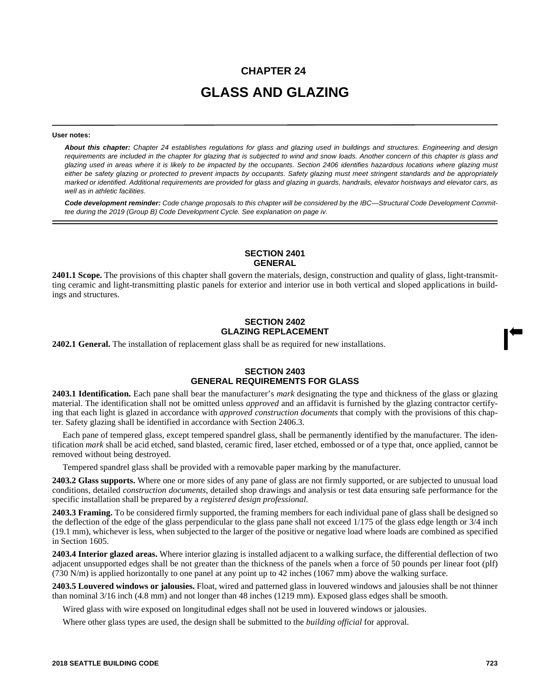# **CHAPTER 24 GLASS AND GLAZING**

#### **User notes:**

*About this chapter: Chapter 24 establishes regulations for glass and glazing used in buildings and structures. Engineering and design requirements are included in the chapter for glazing that is subjected to wind and snow loads. Another concern of this chapter is glass and glazing used in areas where it is likely to be impacted by the occupants. Section 2406 identifies hazardous locations where glazing must either be safety glazing or protected to prevent impacts by occupants. Safety glazing must meet stringent standards and be appropriately marked or identified. Additional requirements are provided for glass and glazing in guards, handrails, elevator hoistways and elevator cars, as well as in athletic facilities.*

*Code development reminder: Code change proposals to this chapter will be considered by the IBC—Structural Code Development Committee during the 2019 (Group B) Code Development Cycle. See explanation on page iv.*

# **SECTION 2401 GENERAL**

**2401.1 Scope.** The provisions of this chapter shall govern the materials, design, construction and quality of glass, light-transmitting ceramic and light-transmitting plastic panels for exterior and interior use in both vertical and sloped applications in buildings and structures.

# **SECTION 2402 GLAZING REPLACEMENT**

**2402.1 General.** The installation of replacement glass shall be as required for new installations.

# **SECTION 2403 GENERAL REQUIREMENTS FOR GLASS**

**2403.1 Identification.** Each pane shall bear the manufacturer's *mark* designating the type and thickness of the glass or glazing material. The identification shall not be omitted unless *approved* and an affidavit is furnished by the glazing contractor certifying that each light is glazed in accordance with *approved construction documents* that comply with the provisions of this chapter. Safety glazing shall be identified in accordance with Section 2406.3.

Each pane of tempered glass, except tempered spandrel glass, shall be permanently identified by the manufacturer. The identification *mark* shall be acid etched, sand blasted, ceramic fired, laser etched, embossed or of a type that, once applied, cannot be removed without being destroyed.

Tempered spandrel glass shall be provided with a removable paper marking by the manufacturer.

**2403.2 Glass supports.** Where one or more sides of any pane of glass are not firmly supported, or are subjected to unusual load conditions, detailed *construction documents*, detailed shop drawings and analysis or test data ensuring safe performance for the specific installation shall be prepared by a *registered design professional*.

**2403.3 Framing.** To be considered firmly supported, the framing members for each individual pane of glass shall be designed so the deflection of the edge of the glass perpendicular to the glass pane shall not exceed 1/175 of the glass edge length or 3/4 inch (19.1 mm), whichever is less, when subjected to the larger of the positive or negative load where loads are combined as specified in Section 1605.

**2403.4 Interior glazed areas.** Where interior glazing is installed adjacent to a walking surface, the differential deflection of two adjacent unsupported edges shall be not greater than the thickness of the panels when a force of 50 pounds per linear foot (plf) (730 N/m) is applied horizontally to one panel at any point up to 42 inches (1067 mm) above the walking surface.

**2403.5 Louvered windows or jalousies.** Float, wired and patterned glass in louvered windows and jalousies shall be not thinner than nominal 3/16 inch (4.8 mm) and not longer than 48 inches (1219 mm). Exposed glass edges shall be smooth.

Wired glass with wire exposed on longitudinal edges shall not be used in louvered windows or jalousies.

Where other glass types are used, the design shall be submitted to the *building official* for approval.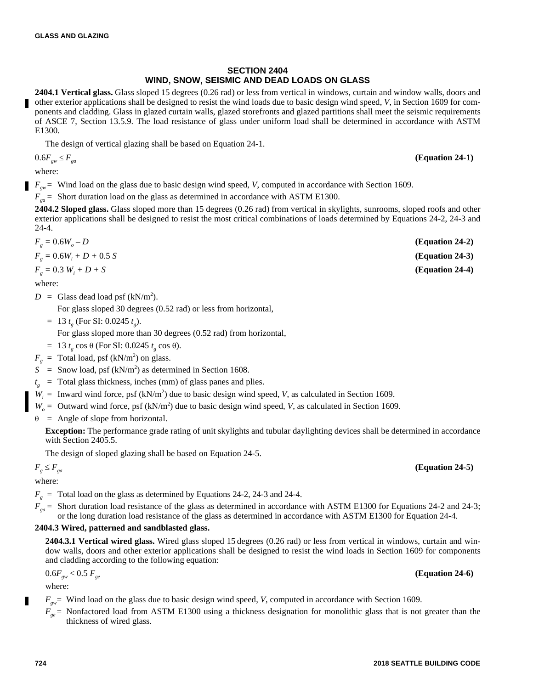# **SECTION 2404 WIND, SNOW, SEISMIC AND DEAD LOADS ON GLASS**

**2404.1 Vertical glass.** Glass sloped 15 degrees (0.26 rad) or less from vertical in windows, curtain and window walls, doors and other exterior applications shall be designed to resist the wind loads due to basic design wind speed, *V*, in Section 1609 for components and cladding. Glass in glazed curtain walls, glazed storefronts and glazed partitions shall meet the seismic requirements of ASCE 7, Section 13.5.9. The load resistance of glass under uniform load shall be determined in accordance with ASTM E1300.

The design of vertical glazing shall be based on Equation 24-1.

$$
0.6F_{\rm gw} \leq F_{\rm ga}
$$

where:

 $F_{gw}$  = Wind load on the glass due to basic design wind speed, *V*, computed in accordance with Section 1609.

 $F_{\text{g}a}$  = Short duration load on the glass as determined in accordance with ASTM E1300.

**2404.2 Sloped glass.** Glass sloped more than 15 degrees (0.26 rad) from vertical in skylights, sunrooms, sloped roofs and other exterior applications shall be designed to resist the most critical combinations of loads determined by Equations 24-2, 24-3 and 24-4.

| $F_{g} = 0.6W_{o} - D$         | $(Equation 24-2)$ |
|--------------------------------|-------------------|
| $F_{g} = 0.6W_{i} + D + 0.5 S$ | $(Equation 24-3)$ |
| $F_{g} = 0.3 W_{i} + D + S$    | $(Equation 24-4)$ |

where:

 $D =$  Glass dead load psf (kN/m<sup>2</sup>).

For glass sloped 30 degrees (0.52 rad) or less from horizontal,

 $= 13 t_g$  (For SI: 0.0245  $t_g$ ).

For glass sloped more than 30 degrees (0.52 rad) from horizontal,

- $= 13 t_g \cos \theta$  (For SI: 0.0245  $t_g \cos \theta$ ).
- $F_g$  = Total load, psf (kN/m<sup>2</sup>) on glass.
- $S =$  Snow load, psf (kN/m<sup>2</sup>) as determined in Section 1608.
- $t<sub>g</sub>$  = Total glass thickness, inches (mm) of glass panes and plies.
- $W_i$  = Inward wind force, psf (kN/m<sup>2</sup>) due to basic design wind speed, *V*, as calculated in Section 1609.
- $W_o$  = Outward wind force, psf (kN/m<sup>2</sup>) due to basic design wind speed, *V*, as calculated in Section 1609.

 $\theta$  = Angle of slope from horizontal.

**Exception:** The performance grade rating of unit skylights and tubular daylighting devices shall be determined in accordance with Section 2405.5.

The design of sloped glazing shall be based on Equation 24-5.

# $F_g \leq F_{ga}$  **(Equation 24-5)**

where:

 $F<sub>g</sub>$  = Total load on the glass as determined by Equations 24-2, 24-3 and 24-4.

 $F_{g}$  = Short duration load resistance of the glass as determined in accordance with ASTM E1300 for Equations 24-2 and 24-3; or the long duration load resistance of the glass as determined in accordance with ASTM E1300 for Equation 24-4.

# **2404.3 Wired, patterned and sandblasted glass.**

**2404.3.1 Vertical wired glass.** Wired glass sloped 15 degrees (0.26 rad) or less from vertical in windows, curtain and window walls, doors and other exterior applications shall be designed to resist the wind loads in Section 1609 for components and cladding according to the following equation:

$$
0.6F_{\rm gw} < 0.5F_{\rm gw} \tag{Equation 24-6}
$$

where:

*Fgw*= Wind load on the glass due to basic design wind speed, *V*, computed in accordance with Section 1609.

 $F_{ge}$  = Nonfactored load from ASTM E1300 using a thickness designation for monolithic glass that is not greater than the thickness of wired glass.

# 0.6*Fgw Fga* **(Equation 24-1)**

**724 2018 SEATTLE BUILDING CODE**

г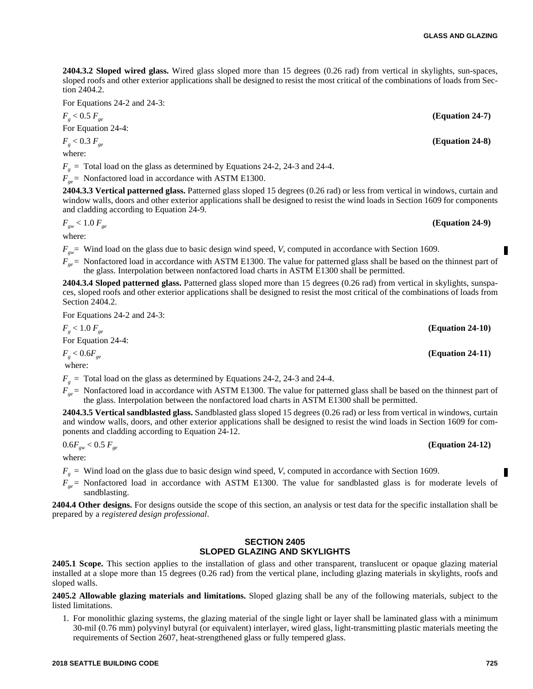**2404.3.2 Sloped wired glass.** Wired glass sloped more than 15 degrees (0.26 rad) from vertical in skylights, sun-spaces, sloped roofs and other exterior applications shall be designed to resist the most critical of the combinations of loads from Section 2404.2.

For Equations 24-2 and 24-3:

 $F_{g}$  < 0.5  $F_{ge}$  **(Equation 24-7)** 

For Equation 24-4:

 $F_g < 0.3 F_{ge}$  (Equation 24-8)

where:

 $F<sub>g</sub>$  = Total load on the glass as determined by Equations 24-2, 24-3 and 24-4.

 $F_{ge}$  = Nonfactored load in accordance with ASTM E1300.

**2404.3.3 Vertical patterned glass.** Patterned glass sloped 15 degrees (0.26 rad) or less from vertical in windows, curtain and window walls, doors and other exterior applications shall be designed to resist the wind loads in Section 1609 for components and cladding according to Equation 24-9.

$$
F_{\rm gw} < 1.0 \, F_{\rm ge} \tag{Equation 24-9}
$$

where:

*Fgw*= Wind load on the glass due to basic design wind speed, *V*, computed in accordance with Section 1609.

 $F_{ge}$  = Nonfactored load in accordance with ASTM E1300. The value for patterned glass shall be based on the thinnest part of the glass. Interpolation between nonfactored load charts in ASTM E1300 shall be permitted.

**2404.3.4 Sloped patterned glass.** Patterned glass sloped more than 15 degrees (0.26 rad) from vertical in skylights, sunspaces, sloped roofs and other exterior applications shall be designed to resist the most critical of the combinations of loads from Section 2404.2.

For Equations 24-2 and 24-3:

 $F_g < 1.0 \ F_{ge}$  (Equation 24-10) For Equation 24-4:  $F_g < 0.6 F_{ge}$  (Equation 24-11)

where:

 $F<sub>g</sub>$  = Total load on the glass as determined by Equations 24-2, 24-3 and 24-4.

 $F_{ge}$  = Nonfactored load in accordance with ASTM E1300. The value for patterned glass shall be based on the thinnest part of the glass. Interpolation between the nonfactored load charts in ASTM E1300 shall be permitted.

**2404.3.5 Vertical sandblasted glass.** Sandblasted glass sloped 15 degrees (0.26 rad) or less from vertical in windows, curtain and window walls, doors, and other exterior applications shall be designed to resist the wind loads in Section 1609 for components and cladding according to Equation 24-12.

 $0.6F_{gw} < 0.5F_{ge}$  (Equation 24-12)

where:

 $F<sub>g</sub>$  = Wind load on the glass due to basic design wind speed, *V*, computed in accordance with Section 1609.

 $F_{ge}$  = Nonfactored load in accordance with ASTM E1300. The value for sandblasted glass is for moderate levels of sandblasting.

**2404.4 Other designs.** For designs outside the scope of this section, an analysis or test data for the specific installation shall be prepared by a *registered design professional*.

# **SECTION 2405 SLOPED GLAZING AND SKYLIGHTS**

**2405.1 Scope.** This section applies to the installation of glass and other transparent, translucent or opaque glazing material installed at a slope more than 15 degrees (0.26 rad) from the vertical plane, including glazing materials in skylights, roofs and sloped walls.

**2405.2 Allowable glazing materials and limitations.** Sloped glazing shall be any of the following materials, subject to the listed limitations.

1. For monolithic glazing systems, the glazing material of the single light or layer shall be laminated glass with a minimum 30-mil (0.76 mm) polyvinyl butyral (or equivalent) interlayer, wired glass, light-transmitting plastic materials meeting the requirements of Section 2607, heat-strengthened glass or fully tempered glass.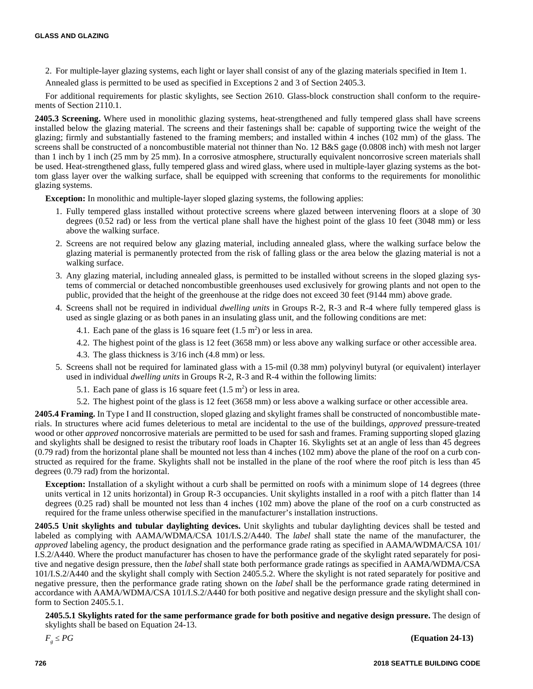- 2. For multiple-layer glazing systems, each light or layer shall consist of any of the glazing materials specified in Item 1.
- Annealed glass is permitted to be used as specified in Exceptions 2 and 3 of Section 2405.3.

For additional requirements for plastic skylights, see Section 2610. Glass-block construction shall conform to the requirements of Section 2110.1.

**2405.3 Screening.** Where used in monolithic glazing systems, heat-strengthened and fully tempered glass shall have screens installed below the glazing material. The screens and their fastenings shall be: capable of supporting twice the weight of the glazing; firmly and substantially fastened to the framing members; and installed within 4 inches (102 mm) of the glass. The screens shall be constructed of a noncombustible material not thinner than No. 12 B&S gage (0.0808 inch) with mesh not larger than 1 inch by 1 inch (25 mm by 25 mm). In a corrosive atmosphere, structurally equivalent noncorrosive screen materials shall be used. Heat-strengthened glass, fully tempered glass and wired glass, where used in multiple-layer glazing systems as the bottom glass layer over the walking surface, shall be equipped with screening that conforms to the requirements for monolithic glazing systems.

**Exception:** In monolithic and multiple-layer sloped glazing systems, the following applies:

- 1. Fully tempered glass installed without protective screens where glazed between intervening floors at a slope of 30 degrees (0.52 rad) or less from the vertical plane shall have the highest point of the glass 10 feet (3048 mm) or less above the walking surface.
- 2. Screens are not required below any glazing material, including annealed glass, where the walking surface below the glazing material is permanently protected from the risk of falling glass or the area below the glazing material is not a walking surface.
- 3. Any glazing material, including annealed glass, is permitted to be installed without screens in the sloped glazing systems of commercial or detached noncombustible greenhouses used exclusively for growing plants and not open to the public, provided that the height of the greenhouse at the ridge does not exceed 30 feet (9144 mm) above grade.
- 4. Screens shall not be required in individual *dwelling units* in Groups R-2, R-3 and R-4 where fully tempered glass is used as single glazing or as both panes in an insulating glass unit, and the following conditions are met:
	- 4.1. Each pane of the glass is 16 square feet  $(1.5 \text{ m}^2)$  or less in area.
	- 4.2. The highest point of the glass is 12 feet (3658 mm) or less above any walking surface or other accessible area.
	- 4.3. The glass thickness is 3/16 inch (4.8 mm) or less.
- 5. Screens shall not be required for laminated glass with a 15-mil (0.38 mm) polyvinyl butyral (or equivalent) interlayer used in individual *dwelling units* in Groups R-2, R-3 and R-4 within the following limits:
	- 5.1. Each pane of glass is 16 square feet  $(1.5 \text{ m}^2)$  or less in area.
	- 5.2. The highest point of the glass is 12 feet (3658 mm) or less above a walking surface or other accessible area.

**2405.4 Framing.** In Type I and II construction, sloped glazing and skylight frames shall be constructed of noncombustible materials. In structures where acid fumes deleterious to metal are incidental to the use of the buildings, *approved* pressure-treated wood or other *approved* noncorrosive materials are permitted to be used for sash and frames. Framing supporting sloped glazing and skylights shall be designed to resist the tributary roof loads in Chapter 16. Skylights set at an angle of less than 45 degrees (0.79 rad) from the horizontal plane shall be mounted not less than 4 inches (102 mm) above the plane of the roof on a curb constructed as required for the frame. Skylights shall not be installed in the plane of the roof where the roof pitch is less than 45 degrees (0.79 rad) from the horizontal.

**Exception:** Installation of a skylight without a curb shall be permitted on roofs with a minimum slope of 14 degrees (three units vertical in 12 units horizontal) in Group R-3 occupancies. Unit skylights installed in a roof with a pitch flatter than 14 degrees (0.25 rad) shall be mounted not less than 4 inches (102 mm) above the plane of the roof on a curb constructed as required for the frame unless otherwise specified in the manufacturer's installation instructions.

**2405.5 Unit skylights and tubular daylighting devices.** Unit skylights and tubular daylighting devices shall be tested and labeled as complying with AAMA/WDMA/CSA 101/I.S.2/A440. The *label* shall state the name of the manufacturer, the *approved* labeling agency, the product designation and the performance grade rating as specified in AAMA/WDMA/CSA 101/ I.S.2/A440. Where the product manufacturer has chosen to have the performance grade of the skylight rated separately for positive and negative design pressure, then the *label* shall state both performance grade ratings as specified in AAMA/WDMA/CSA 101/I.S.2/A440 and the skylight shall comply with Section 2405.5.2. Where the skylight is not rated separately for positive and negative pressure, then the performance grade rating shown on the *label* shall be the performance grade rating determined in accordance with AAMA/WDMA/CSA 101/I.S.2/A440 for both positive and negative design pressure and the skylight shall conform to Section 2405.5.1.

**2405.5.1 Skylights rated for the same performance grade for both positive and negative design pressure.** The design of skylights shall be based on Equation 24-13.

 *PG* **(Equation 24-13)**

 $F_{g} \leq PG$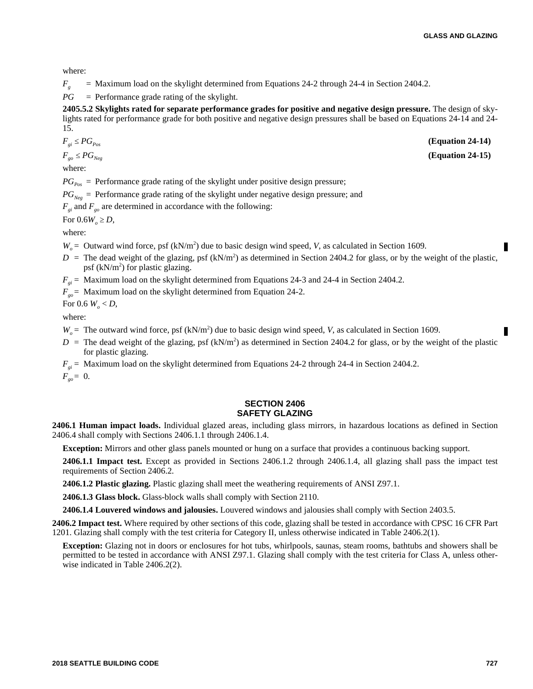where:

 $F_g$  = Maximum load on the skylight determined from Equations 24-2 through 24-4 in Section 2404.2.

*PG* = Performance grade rating of the skylight.

**2405.5.2 Skylights rated for separate performance grades for positive and negative design pressure.** The design of skylights rated for performance grade for both positive and negative design pressures shall be based on Equations 24-14 and 24- 15.

$$
F_{gi} \le PG_{Pos} \tag{Equation 24-14}
$$

 $F_{g0} \le PG_{Neg}$  (Equation 24-15)

where:

 $PG_{p_{\text{av}}}$  = Performance grade rating of the skylight under positive design pressure;

 $PG_{Neg}$  = Performance grade rating of the skylight under negative design pressure; and

 $F_{gi}$  and  $F_{go}$  are determined in accordance with the following:

For  $0.6W_o \ge D$ ,

where:

 $W_o$  = Outward wind force, psf (kN/m<sup>2</sup>) due to basic design wind speed, *V*, as calculated in Section 1609.

- $D =$  The dead weight of the glazing, psf (kN/m<sup>2</sup>) as determined in Section 2404.2 for glass, or by the weight of the plastic, psf  $(kN/m^2)$  for plastic glazing.
- *F<sub>gi</sub>* = Maximum load on the skylight determined from Equations 24-3 and 24-4 in Section 2404.2.

 $F_{\text{go}}$  = Maximum load on the skylight determined from Equation 24-2.

For 0.6  $W_{o}$  < *D*,

where:

 $W_o$  = The outward wind force, psf (kN/m<sup>2</sup>) due to basic design wind speed, *V*, as calculated in Section 1609.

- $D =$  The dead weight of the glazing, psf (kN/m<sup>2</sup>) as determined in Section 2404.2 for glass, or by the weight of the plastic for plastic glazing.
- *F*<sub>*gi*</sub> = Maximum load on the skylight determined from Equations 24-2 through 24-4 in Section 2404.2.

 $F_{g0} = 0$ .

#### **SECTION 2406 SAFETY GLAZING**

**2406.1 Human impact loads.** Individual glazed areas, including glass mirrors, in hazardous locations as defined in Section 2406.4 shall comply with Sections 2406.1.1 through 2406.1.4.

**Exception:** Mirrors and other glass panels mounted or hung on a surface that provides a continuous backing support.

**2406.1.1 Impact test.** Except as provided in Sections 2406.1.2 through 2406.1.4, all glazing shall pass the impact test requirements of Section 2406.2.

**2406.1.2 Plastic glazing.** Plastic glazing shall meet the weathering requirements of ANSI Z97.1.

**2406.1.3 Glass block.** Glass-block walls shall comply with Section 2110.

**2406.1.4 Louvered windows and jalousies.** Louvered windows and jalousies shall comply with Section 2403.5.

**2406.2 Impact test.** Where required by other sections of this code, glazing shall be tested in accordance with CPSC 16 CFR Part 1201. Glazing shall comply with the test criteria for Category II, unless otherwise indicated in Table 2406.2(1).

**Exception:** Glazing not in doors or enclosures for hot tubs, whirlpools, saunas, steam rooms, bathtubs and showers shall be permitted to be tested in accordance with ANSI Z97.1. Glazing shall comply with the test criteria for Class A, unless otherwise indicated in Table 2406.2(2).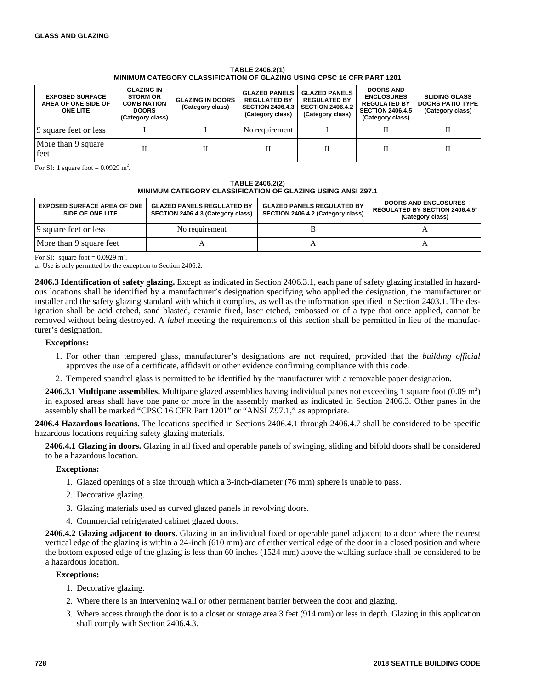#### **TABLE 2406.2(1) MINIMUM CATEGORY CLASSIFICATION OF GLAZING USING CPSC 16 CFR PART 1201**

| <b>EXPOSED SURFACE</b><br>AREA OF ONE SIDE OF<br><b>ONE LITE</b> | <b>GLAZING IN</b><br><b>STORM OR</b><br><b>COMBINATION</b><br><b>DOORS</b><br>(Category class) | <b>GLAZING IN DOORS</b><br>(Category class) | <b>GLAZED PANELS</b><br><b>REGULATED BY</b><br><b>SECTION 2406.4.3</b><br>(Category class) | <b>GLAZED PANELS</b><br><b>REGULATED BY</b><br><b>SECTION 2406.4.2</b><br>(Category class) | <b>DOORS AND</b><br><b>ENCLOSURES</b><br><b>REGULATED BY</b><br><b>SECTION 2406.4.5</b><br>(Category class) | <b>SLIDING GLASS</b><br><b>DOORS PATIO TYPE</b><br>(Category class) |
|------------------------------------------------------------------|------------------------------------------------------------------------------------------------|---------------------------------------------|--------------------------------------------------------------------------------------------|--------------------------------------------------------------------------------------------|-------------------------------------------------------------------------------------------------------------|---------------------------------------------------------------------|
| 9 square feet or less                                            |                                                                                                |                                             | No requirement                                                                             |                                                                                            |                                                                                                             |                                                                     |
| More than 9 square<br>feet                                       | П                                                                                              |                                             |                                                                                            |                                                                                            |                                                                                                             |                                                                     |

For SI: 1 square foot =  $0.0929$  m<sup>2</sup>.

#### **TABLE 2406.2(2) MINIMUM CATEGORY CLASSIFICATION OF GLAZING USING ANSI Z97.1**

| <b>EXPOSED SURFACE AREA OF ONE</b><br>SIDE OF ONE LITE | <b>GLAZED PANELS REGULATED BY</b><br>SECTION 2406.4.3 (Category class) | <b>GLAZED PANELS REGULATED BY</b><br>SECTION 2406.4.2 (Category class) | <b>DOORS AND ENCLOSURES</b><br>REGULATED BY SECTION 2406.4.5 <sup>a</sup><br>(Category class) |
|--------------------------------------------------------|------------------------------------------------------------------------|------------------------------------------------------------------------|-----------------------------------------------------------------------------------------------|
| 9 square feet or less                                  | No requirement                                                         |                                                                        |                                                                                               |
| More than 9 square feet                                |                                                                        |                                                                        |                                                                                               |

For SI: square foot =  $0.0929$  m<sup>2</sup>.

a. Use is only permitted by the exception to Section 2406.2.

**2406.3 Identification of safety glazing.** Except as indicated in Section 2406.3.1, each pane of safety glazing installed in hazardous locations shall be identified by a manufacturer's designation specifying who applied the designation, the manufacturer or installer and the safety glazing standard with which it complies, as well as the information specified in Section 2403.1. The designation shall be acid etched, sand blasted, ceramic fired, laser etched, embossed or of a type that once applied, cannot be removed without being destroyed. A *label* meeting the requirements of this section shall be permitted in lieu of the manufacturer's designation.

#### **Exceptions:**

- 1. For other than tempered glass, manufacturer's designations are not required, provided that the *building official* approves the use of a certificate, affidavit or other evidence confirming compliance with this code.
- 2. Tempered spandrel glass is permitted to be identified by the manufacturer with a removable paper designation.

**2406.3.1 Multipane assemblies.** Multipane glazed assemblies having individual panes not exceeding 1 square foot  $(0.09 \text{ m}^2)$ in exposed areas shall have one pane or more in the assembly marked as indicated in Section 2406.3. Other panes in the assembly shall be marked "CPSC 16 CFR Part 1201" or "ANSI Z97.1," as appropriate.

**2406.4 Hazardous locations.** The locations specified in Sections 2406.4.1 through 2406.4.7 shall be considered to be specific hazardous locations requiring safety glazing materials.

**2406.4.1 Glazing in doors.** Glazing in all fixed and operable panels of swinging, sliding and bifold doors shall be considered to be a hazardous location.

#### **Exceptions:**

- 1. Glazed openings of a size through which a 3-inch-diameter (76 mm) sphere is unable to pass.
- 2. Decorative glazing.
- 3. Glazing materials used as curved glazed panels in revolving doors.
- 4. Commercial refrigerated cabinet glazed doors.

**2406.4.2 Glazing adjacent to doors.** Glazing in an individual fixed or operable panel adjacent to a door where the nearest vertical edge of the glazing is within a 24-inch (610 mm) arc of either vertical edge of the door in a closed position and where the bottom exposed edge of the glazing is less than 60 inches (1524 mm) above the walking surface shall be considered to be a hazardous location.

#### **Exceptions:**

- 1. Decorative glazing.
- 2. Where there is an intervening wall or other permanent barrier between the door and glazing.
- 3. Where access through the door is to a closet or storage area 3 feet (914 mm) or less in depth. Glazing in this application shall comply with Section 2406.4.3.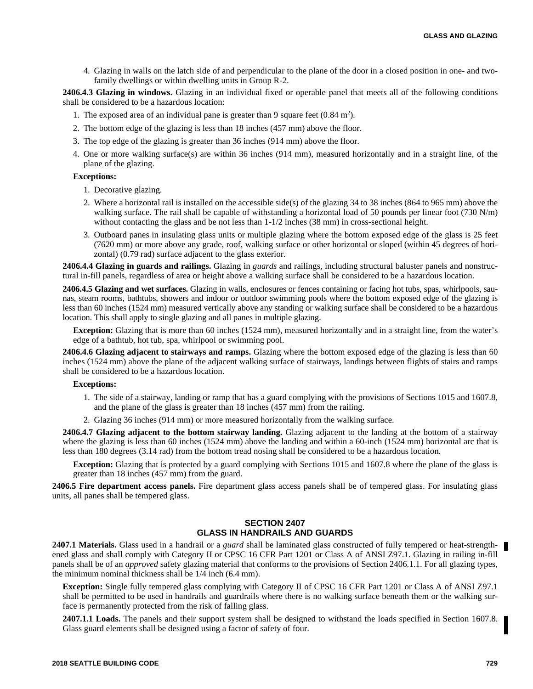4. Glazing in walls on the latch side of and perpendicular to the plane of the door in a closed position in one- and twofamily dwellings or within dwelling units in Group R-2.

**2406.4.3 Glazing in windows.** Glazing in an individual fixed or operable panel that meets all of the following conditions shall be considered to be a hazardous location:

- 1. The exposed area of an individual pane is greater than 9 square feet  $(0.84 \text{ m}^2)$ .
- 2. The bottom edge of the glazing is less than 18 inches (457 mm) above the floor.
- 3. The top edge of the glazing is greater than 36 inches (914 mm) above the floor.
- 4. One or more walking surface(s) are within 36 inches (914 mm), measured horizontally and in a straight line, of the plane of the glazing.

# **Exceptions:**

- 1. Decorative glazing.
- 2. Where a horizontal rail is installed on the accessible side(s) of the glazing 34 to 38 inches (864 to 965 mm) above the walking surface. The rail shall be capable of withstanding a horizontal load of 50 pounds per linear foot (730 N/m) without contacting the glass and be not less than  $1-1/2$  inches (38 mm) in cross-sectional height.
- 3. Outboard panes in insulating glass units or multiple glazing where the bottom exposed edge of the glass is 25 feet (7620 mm) or more above any grade, roof, walking surface or other horizontal or sloped (within 45 degrees of horizontal) (0.79 rad) surface adjacent to the glass exterior.

**2406.4.4 Glazing in guards and railings.** Glazing in *guards* and railings, including structural baluster panels and nonstructural in-fill panels, regardless of area or height above a walking surface shall be considered to be a hazardous location.

**2406.4.5 Glazing and wet surfaces.** Glazing in walls, enclosures or fences containing or facing hot tubs, spas, whirlpools, saunas, steam rooms, bathtubs, showers and indoor or outdoor swimming pools where the bottom exposed edge of the glazing is less than 60 inches (1524 mm) measured vertically above any standing or walking surface shall be considered to be a hazardous location. This shall apply to single glazing and all panes in multiple glazing.

**Exception:** Glazing that is more than 60 inches (1524 mm), measured horizontally and in a straight line, from the water's edge of a bathtub, hot tub, spa, whirlpool or swimming pool.

**2406.4.6 Glazing adjacent to stairways and ramps.** Glazing where the bottom exposed edge of the glazing is less than 60 inches (1524 mm) above the plane of the adjacent walking surface of stairways, landings between flights of stairs and ramps shall be considered to be a hazardous location.

### **Exceptions:**

- 1. The side of a stairway, landing or ramp that has a guard complying with the provisions of Sections 1015 and 1607.8, and the plane of the glass is greater than 18 inches (457 mm) from the railing.
- 2. Glazing 36 inches (914 mm) or more measured horizontally from the walking surface.

**2406.4.7 Glazing adjacent to the bottom stairway landing.** Glazing adjacent to the landing at the bottom of a stairway where the glazing is less than 60 inches (1524 mm) above the landing and within a 60-inch (1524 mm) horizontal arc that is less than 180 degrees (3.14 rad) from the bottom tread nosing shall be considered to be a hazardous location.

**Exception:** Glazing that is protected by a guard complying with Sections 1015 and 1607.8 where the plane of the glass is greater than 18 inches (457 mm) from the guard.

**2406.5 Fire department access panels.** Fire department glass access panels shall be of tempered glass. For insulating glass units, all panes shall be tempered glass.

#### **SECTION 2407 GLASS IN HANDRAILS AND GUARDS**

**2407.1 Materials.** Glass used in a handrail or a *guard* shall be laminated glass constructed of fully tempered or heat-strengthened glass and shall comply with Category II or CPSC 16 CFR Part 1201 or Class A of ANSI Z97.1. Glazing in railing in-fill panels shall be of an *approved* safety glazing material that conforms to the provisions of Section 2406.1.1. For all glazing types, the minimum nominal thickness shall be 1/4 inch (6.4 mm).

**Exception:** Single fully tempered glass complying with Category II of CPSC 16 CFR Part 1201 or Class A of ANSI Z97.1 shall be permitted to be used in handrails and guardrails where there is no walking surface beneath them or the walking surface is permanently protected from the risk of falling glass.

**2407.1.1 Loads.** The panels and their support system shall be designed to withstand the loads specified in Section 1607.8. Glass guard elements shall be designed using a factor of safety of four.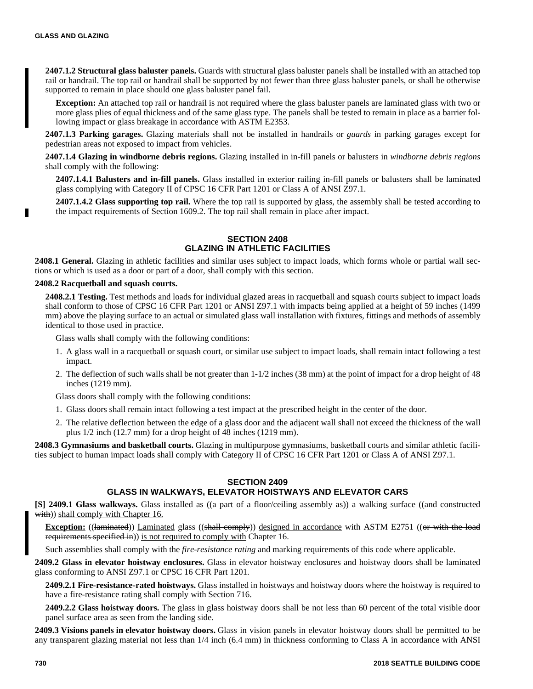**2407.1.2 Structural glass baluster panels.** Guards with structural glass baluster panels shall be installed with an attached top rail or handrail. The top rail or handrail shall be supported by not fewer than three glass baluster panels, or shall be otherwise supported to remain in place should one glass baluster panel fail.

**Exception:** An attached top rail or handrail is not required where the glass baluster panels are laminated glass with two or more glass plies of equal thickness and of the same glass type. The panels shall be tested to remain in place as a barrier following impact or glass breakage in accordance with ASTM E2353.

**2407.1.3 Parking garages.** Glazing materials shall not be installed in handrails or *guards* in parking garages except for pedestrian areas not exposed to impact from vehicles.

**2407.1.4 Glazing in windborne debris regions.** Glazing installed in in-fill panels or balusters in *windborne debris regions* shall comply with the following:

**2407.1.4.1 Balusters and in-fill panels.** Glass installed in exterior railing in-fill panels or balusters shall be laminated glass complying with Category II of CPSC 16 CFR Part 1201 or Class A of ANSI Z97.1.

**2407.1.4.2 Glass supporting top rail.** Where the top rail is supported by glass, the assembly shall be tested according to the impact requirements of Section 1609.2. The top rail shall remain in place after impact.

# **SECTION 2408 GLAZING IN ATHLETIC FACILITIES**

**2408.1 General.** Glazing in athletic facilities and similar uses subject to impact loads, which forms whole or partial wall sections or which is used as a door or part of a door, shall comply with this section.

#### **2408.2 Racquetball and squash courts.**

**2408.2.1 Testing.** Test methods and loads for individual glazed areas in racquetball and squash courts subject to impact loads shall conform to those of CPSC 16 CFR Part 1201 or ANSI Z97.1 with impacts being applied at a height of 59 inches (1499 mm) above the playing surface to an actual or simulated glass wall installation with fixtures, fittings and methods of assembly identical to those used in practice.

Glass walls shall comply with the following conditions:

- 1. A glass wall in a racquetball or squash court, or similar use subject to impact loads, shall remain intact following a test impact.
- 2. The deflection of such walls shall be not greater than 1-1/2 inches (38 mm) at the point of impact for a drop height of 48 inches (1219 mm).

Glass doors shall comply with the following conditions:

- 1. Glass doors shall remain intact following a test impact at the prescribed height in the center of the door.
- 2. The relative deflection between the edge of a glass door and the adjacent wall shall not exceed the thickness of the wall plus 1/2 inch (12.7 mm) for a drop height of 48 inches (1219 mm).

**2408.3 Gymnasiums and basketball courts.** Glazing in multipurpose gymnasiums, basketball courts and similar athletic facilities subject to human impact loads shall comply with Category II of CPSC 16 CFR Part 1201 or Class A of ANSI Z97.1.

### **SECTION 2409**

# **GLASS IN WALKWAYS, ELEVATOR HOISTWAYS AND ELEVATOR CARS**

**[S] 2409.1 Glass walkways.** Glass installed as ((a part of a floor/ceiling assembly as)) a walking surface ((and constructed with)) shall comply with Chapter 16.

**Exception:** ((laminated)) Laminated glass ((shall comply)) designed in accordance with ASTM E2751 ((or with the load requirements specified in)) is not required to comply with Chapter 16.

Such assemblies shall comply with the *fire-resistance rating* and marking requirements of this code where applicable.

**2409.2 Glass in elevator hoistway enclosures.** Glass in elevator hoistway enclosures and hoistway doors shall be laminated glass conforming to ANSI Z97.1 or CPSC 16 CFR Part 1201.

**2409.2.1 Fire-resistance-rated hoistways.** Glass installed in hoistways and hoistway doors where the hoistway is required to have a fire-resistance rating shall comply with Section 716.

**2409.2.2 Glass hoistway doors.** The glass in glass hoistway doors shall be not less than 60 percent of the total visible door panel surface area as seen from the landing side.

**2409.3 Visions panels in elevator hoistway doors.** Glass in vision panels in elevator hoistway doors shall be permitted to be any transparent glazing material not less than 1/4 inch (6.4 mm) in thickness conforming to Class A in accordance with ANSI